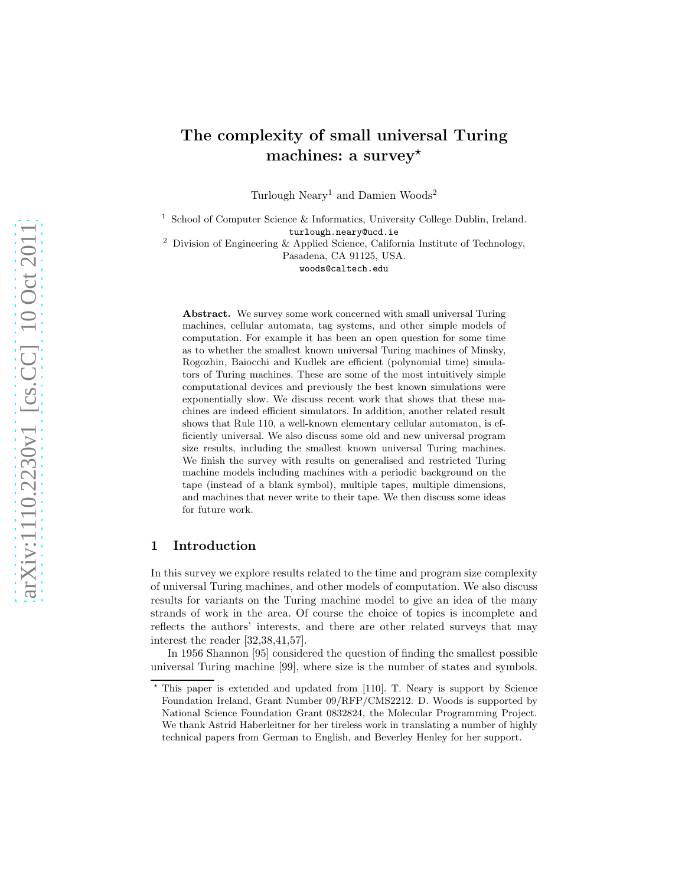# The complexity of small universal Turing machines: a survey $\star$

Turlough  $Neary<sup>1</sup>$  and Damien Woods<sup>2</sup>

<sup>1</sup> School of Computer Science & Informatics, University College Dublin, Ireland. turlough.neary@ucd.ie

<sup>2</sup> Division of Engineering & Applied Science, California Institute of Technology, Pasadena, CA 91125, USA.

woods@caltech.edu

Abstract. We survey some work concerned with small universal Turing machines, cellular automata, tag systems, and other simple models of computation. For example it has been an open question for some time as to whether the smallest known universal Turing machines of Minsky, Rogozhin, Baiocchi and Kudlek are efficient (polynomial time) simulators of Turing machines. These are some of the most intuitively simple computational devices and previously the best known simulations were exponentially slow. We discuss recent work that shows that these machines are indeed efficient simulators. In addition, another related result shows that Rule 110, a well-known elementary cellular automaton, is efficiently universal. We also discuss some old and new universal program size results, including the smallest known universal Turing machines. We finish the survey with results on generalised and restricted Turing machine models including machines with a periodic background on the tape (instead of a blank symbol), multiple tapes, multiple dimensions, and machines that never write to their tape. We then discuss some ideas for future work.

# 1 Introduction

In this survey we explore results related to the time and program size complexity of universal Turing machines, and other models of computation. We also discuss results for variants on the Turing machine model to give an idea of the many strands of work in the area. Of course the choice of topics is incomplete and reflects the authors' interests, and there are other related surveys that may interest the reader [\[32,](#page-14-0)[38](#page-15-0)[,41](#page-15-1)[,57\]](#page-16-0).

In 1956 Shannon [\[95\]](#page-18-0) considered the question of finding the smallest possible universal Turing machine [\[99\]](#page-18-1), where size is the number of states and symbols.

This paper is extended and updated from [\[110\]](#page-18-2). T. Neary is support by Science Foundation Ireland, Grant Number 09/RFP/CMS2212. D. Woods is supported by National Science Foundation Grant 0832824, the Molecular Programming Project. We thank Astrid Haberleitner for her tireless work in translating a number of highly technical papers from German to English, and Beverley Henley for her support.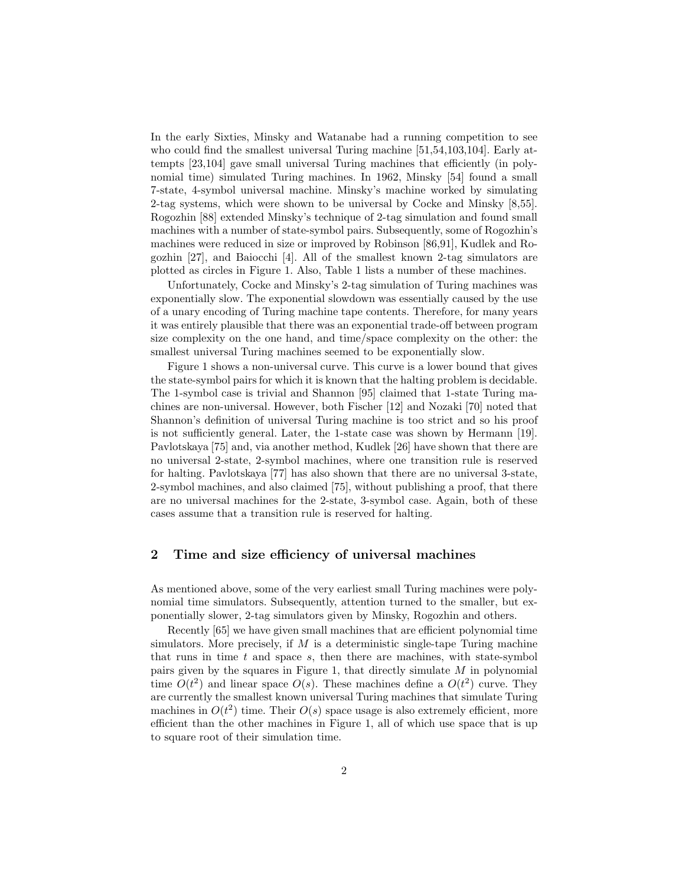In the early Sixties, Minsky and Watanabe had a running competition to see who could find the smallest universal Turing machine [\[51](#page-15-2)[,54,](#page-16-1)[103](#page-18-3)[,104\]](#page-18-4). Early attempts [\[23](#page-14-1)[,104\]](#page-18-4) gave small universal Turing machines that efficiently (in polynomial time) simulated Turing machines. In 1962, Minsky [\[54\]](#page-16-1) found a small 7-state, 4-symbol universal machine. Minsky's machine worked by simulating 2-tag systems, which were shown to be universal by Cocke and Minsky [\[8](#page-13-0)[,55\]](#page-16-2). Rogozhin [\[88\]](#page-17-0) extended Minsky's technique of 2-tag simulation and found small machines with a number of state-symbol pairs. Subsequently, some of Rogozhin's machines were reduced in size or improved by Robinson [\[86](#page-17-1)[,91\]](#page-17-2), Kudlek and Rogozhin [\[27\]](#page-14-2), and Baiocchi [\[4\]](#page-13-1). All of the smallest known 2-tag simulators are plotted as circles in Figure [1.](#page-2-0) Also, Table [1](#page-19-0) lists a number of these machines.

Unfortunately, Cocke and Minsky's 2-tag simulation of Turing machines was exponentially slow. The exponential slowdown was essentially caused by the use of a unary encoding of Turing machine tape contents. Therefore, for many years it was entirely plausible that there was an exponential trade-off between program size complexity on the one hand, and time/space complexity on the other: the smallest universal Turing machines seemed to be exponentially slow.

Figure [1](#page-2-0) shows a non-universal curve. This curve is a lower bound that gives the state-symbol pairs for which it is known that the halting problem is decidable. The 1-symbol case is trivial and Shannon [\[95\]](#page-18-0) claimed that 1-state Turing machines are non-universal. However, both Fischer [\[12\]](#page-13-2) and Nozaki [\[70\]](#page-16-3) noted that Shannon's definition of universal Turing machine is too strict and so his proof is not sufficiently general. Later, the 1-state case was shown by Hermann [\[19\]](#page-14-3). Pavlotskaya [\[75\]](#page-17-3) and, via another method, Kudlek [\[26\]](#page-14-4) have shown that there are no universal 2-state, 2-symbol machines, where one transition rule is reserved for halting. Pavlotskaya [\[77\]](#page-17-4) has also shown that there are no universal 3-state, 2-symbol machines, and also claimed [\[75\]](#page-17-3), without publishing a proof, that there are no universal machines for the 2-state, 3-symbol case. Again, both of these cases assume that a transition rule is reserved for halting.

### 2 Time and size efficiency of universal machines

As mentioned above, some of the very earliest small Turing machines were polynomial time simulators. Subsequently, attention turned to the smaller, but exponentially slower, 2-tag simulators given by Minsky, Rogozhin and others.

Recently [\[65\]](#page-16-4) we have given small machines that are efficient polynomial time simulators. More precisely, if  $M$  is a deterministic single-tape Turing machine that runs in time  $t$  and space  $s$ , then there are machines, with state-symbol pairs given by the squares in Figure [1,](#page-2-0) that directly simulate  $M$  in polynomial time  $O(t^2)$  and linear space  $O(s)$ . These machines define a  $O(t^2)$  curve. They are currently the smallest known universal Turing machines that simulate Turing machines in  $O(t^2)$  time. Their  $O(s)$  space usage is also extremely efficient, more efficient than the other machines in Figure [1,](#page-2-0) all of which use space that is up to square root of their simulation time.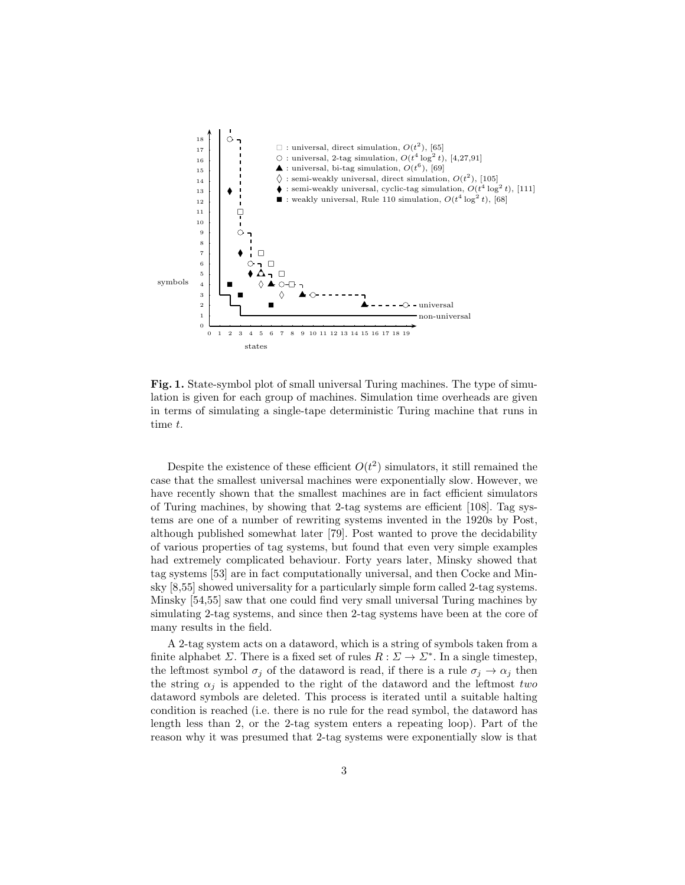

<span id="page-2-0"></span>Fig. 1. State-symbol plot of small universal Turing machines. The type of simulation is given for each group of machines. Simulation time overheads are given in terms of simulating a single-tape deterministic Turing machine that runs in time t.

Despite the existence of these efficient  $O(t^2)$  simulators, it still remained the case that the smallest universal machines were exponentially slow. However, we have recently shown that the smallest machines are in fact efficient simulators of Turing machines, by showing that 2-tag systems are efficient [\[108\]](#page-18-7). Tag systems are one of a number of rewriting systems invented in the 1920s by Post, although published somewhat later [\[79\]](#page-17-5). Post wanted to prove the decidability of various properties of tag systems, but found that even very simple examples had extremely complicated behaviour. Forty years later, Minsky showed that tag systems [\[53\]](#page-16-7) are in fact computationally universal, and then Cocke and Minsky [\[8](#page-13-0)[,55\]](#page-16-2) showed universality for a particularly simple form called 2-tag systems. Minsky [\[54,](#page-16-1)[55\]](#page-16-2) saw that one could find very small universal Turing machines by simulating 2-tag systems, and since then 2-tag systems have been at the core of many results in the field.

A 2-tag system acts on a dataword, which is a string of symbols taken from a finite alphabet  $\Sigma$ . There is a fixed set of rules  $R : \Sigma \to \Sigma^*$ . In a single timestep, the leftmost symbol  $\sigma_i$  of the dataword is read, if there is a rule  $\sigma_i \to \alpha_i$  then the string  $\alpha_i$  is appended to the right of the dataword and the leftmost two dataword symbols are deleted. This process is iterated until a suitable halting condition is reached (i.e. there is no rule for the read symbol, the dataword has length less than 2, or the 2-tag system enters a repeating loop). Part of the reason why it was presumed that 2-tag systems were exponentially slow is that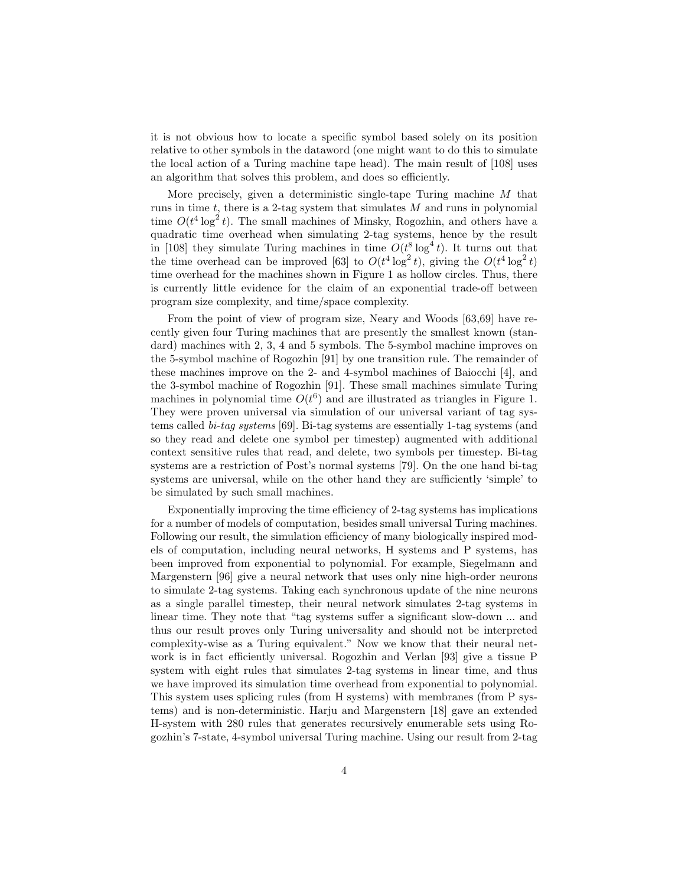it is not obvious how to locate a specific symbol based solely on its position relative to other symbols in the dataword (one might want to do this to simulate the local action of a Turing machine tape head). The main result of [\[108\]](#page-18-7) uses an algorithm that solves this problem, and does so efficiently.

More precisely, given a deterministic single-tape Turing machine  $M$  that runs in time  $t$ , there is a 2-tag system that simulates  $M$  and runs in polynomial time  $O(t^4 \log^2 t)$ . The small machines of Minsky, Rogozhin, and others have a quadratic time overhead when simulating 2-tag systems, hence by the result in [\[108\]](#page-18-7) they simulate Turing machines in time  $O(t^8 \log^4 t)$ . It turns out that the time overhead can be improved [\[63\]](#page-16-8) to  $O(t^4 \log^2 t)$ , giving the  $O(t^4 \log^2 t)$ time overhead for the machines shown in Figure [1](#page-2-0) as hollow circles. Thus, there is currently little evidence for the claim of an exponential trade-off between program size complexity, and time/space complexity.

From the point of view of program size, Neary and Woods [\[63,](#page-16-8)[69\]](#page-16-5) have recently given four Turing machines that are presently the smallest known (standard) machines with 2, 3, 4 and 5 symbols. The 5-symbol machine improves on the 5-symbol machine of Rogozhin [\[91\]](#page-17-2) by one transition rule. The remainder of these machines improve on the 2- and 4-symbol machines of Baiocchi [\[4\]](#page-13-1), and the 3-symbol machine of Rogozhin [\[91\]](#page-17-2). These small machines simulate Turing machines in polynomial time  $O(t^6)$  and are illustrated as triangles in Figure [1.](#page-2-0) They were proven universal via simulation of our universal variant of tag systems called bi-tag systems [\[69\]](#page-16-5). Bi-tag systems are essentially 1-tag systems (and so they read and delete one symbol per timestep) augmented with additional context sensitive rules that read, and delete, two symbols per timestep. Bi-tag systems are a restriction of Post's normal systems [\[79\]](#page-17-5). On the one hand bi-tag systems are universal, while on the other hand they are sufficiently 'simple' to be simulated by such small machines.

Exponentially improving the time efficiency of 2-tag systems has implications for a number of models of computation, besides small universal Turing machines. Following our result, the simulation efficiency of many biologically inspired models of computation, including neural networks, H systems and P systems, has been improved from exponential to polynomial. For example, Siegelmann and Margenstern [\[96\]](#page-18-8) give a neural network that uses only nine high-order neurons to simulate 2-tag systems. Taking each synchronous update of the nine neurons as a single parallel timestep, their neural network simulates 2-tag systems in linear time. They note that "tag systems suffer a significant slow-down ... and thus our result proves only Turing universality and should not be interpreted complexity-wise as a Turing equivalent." Now we know that their neural network is in fact efficiently universal. Rogozhin and Verlan [\[93\]](#page-18-9) give a tissue P system with eight rules that simulates 2-tag systems in linear time, and thus we have improved its simulation time overhead from exponential to polynomial. This system uses splicing rules (from H systems) with membranes (from P systems) and is non-deterministic. Harju and Margenstern [\[18\]](#page-14-5) gave an extended H-system with 280 rules that generates recursively enumerable sets using Rogozhin's 7-state, 4-symbol universal Turing machine. Using our result from 2-tag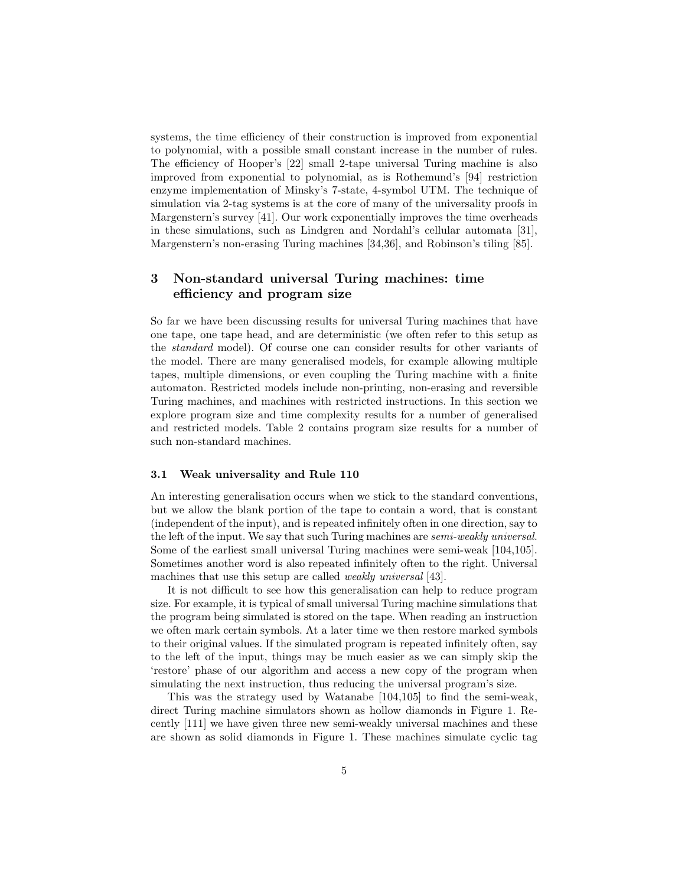systems, the time efficiency of their construction is improved from exponential to polynomial, with a possible small constant increase in the number of rules. The efficiency of Hooper's [\[22\]](#page-14-6) small 2-tape universal Turing machine is also improved from exponential to polynomial, as is Rothemund's [\[94\]](#page-18-10) restriction enzyme implementation of Minsky's 7-state, 4-symbol UTM. The technique of simulation via 2-tag systems is at the core of many of the universality proofs in Margenstern's survey [\[41\]](#page-15-1). Our work exponentially improves the time overheads in these simulations, such as Lindgren and Nordahl's cellular automata [\[31\]](#page-14-7), Margenstern's non-erasing Turing machines [\[34](#page-15-3)[,36\]](#page-15-4), and Robinson's tiling [\[85\]](#page-17-6).

# 3 Non-standard universal Turing machines: time efficiency and program size

So far we have been discussing results for universal Turing machines that have one tape, one tape head, and are deterministic (we often refer to this setup as the standard model). Of course one can consider results for other variants of the model. There are many generalised models, for example allowing multiple tapes, multiple dimensions, or even coupling the Turing machine with a finite automaton. Restricted models include non-printing, non-erasing and reversible Turing machines, and machines with restricted instructions. In this section we explore program size and time complexity results for a number of generalised and restricted models. Table [2](#page-20-0) contains program size results for a number of such non-standard machines.

#### 3.1 Weak universality and Rule 110

An interesting generalisation occurs when we stick to the standard conventions, but we allow the blank portion of the tape to contain a word, that is constant (independent of the input), and is repeated infinitely often in one direction, say to the left of the input. We say that such Turing machines are semi-weakly universal. Some of the earliest small universal Turing machines were semi-weak [\[104](#page-18-4)[,105\]](#page-18-5). Sometimes another word is also repeated infinitely often to the right. Universal machines that use this setup are called *weakly universal* [\[43\]](#page-15-5).

It is not difficult to see how this generalisation can help to reduce program size. For example, it is typical of small universal Turing machine simulations that the program being simulated is stored on the tape. When reading an instruction we often mark certain symbols. At a later time we then restore marked symbols to their original values. If the simulated program is repeated infinitely often, say to the left of the input, things may be much easier as we can simply skip the 'restore' phase of our algorithm and access a new copy of the program when simulating the next instruction, thus reducing the universal program's size.

This was the strategy used by Watanabe [\[104](#page-18-4)[,105\]](#page-18-5) to find the semi-weak, direct Turing machine simulators shown as hollow diamonds in Figure [1.](#page-2-0) Recently [\[111\]](#page-18-6) we have given three new semi-weakly universal machines and these are shown as solid diamonds in Figure [1.](#page-2-0) These machines simulate cyclic tag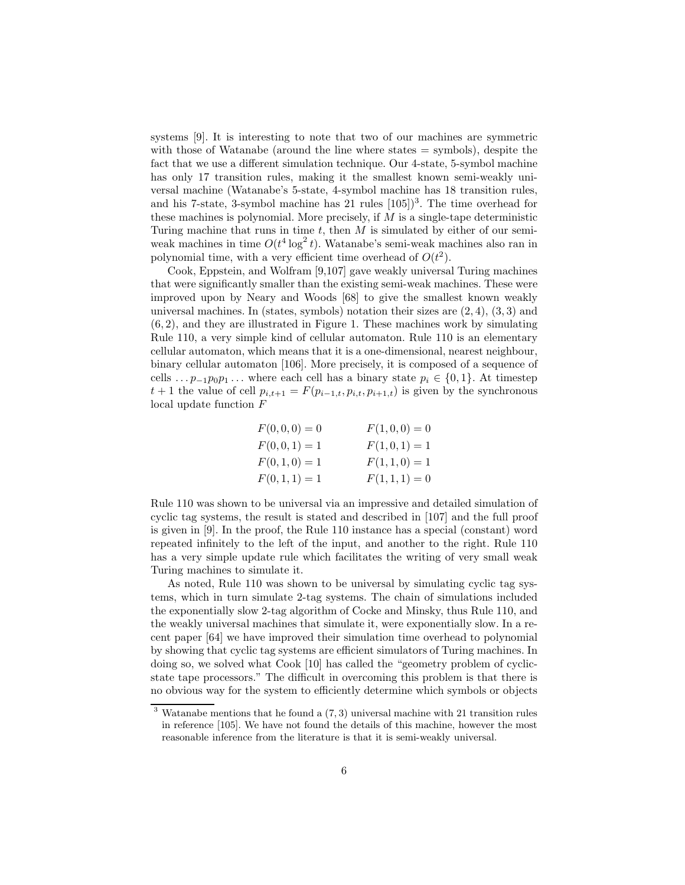systems [\[9\]](#page-13-3). It is interesting to note that two of our machines are symmetric with those of Watanabe (around the line where states  $=$  symbols), despite the fact that we use a different simulation technique. Our 4-state, 5-symbol machine has only 17 transition rules, making it the smallest known semi-weakly universal machine (Watanabe's 5-state, 4-symbol machine has 18 transition rules, and his 7-state, [3](#page-5-0)-symbol machine has  $21$  rules  $[105]$ <sup>3</sup>. The time overhead for these machines is polynomial. More precisely, if  $M$  is a single-tape deterministic Turing machine that runs in time  $t$ , then  $M$  is simulated by either of our semiweak machines in time  $O(t^4 \log^2 t)$ . Watanabe's semi-weak machines also ran in polynomial time, with a very efficient time overhead of  $O(t^2)$ .

Cook, Eppstein, and Wolfram [\[9](#page-13-3)[,107\]](#page-18-11) gave weakly universal Turing machines that were significantly smaller than the existing semi-weak machines. These were improved upon by Neary and Woods [\[68\]](#page-16-6) to give the smallest known weakly universal machines. In (states, symbols) notation their sizes are  $(2, 4)$ ,  $(3, 3)$  and  $(6, 2)$ , and they are illustrated in Figure [1.](#page-2-0) These machines work by simulating Rule 110, a very simple kind of cellular automaton. Rule 110 is an elementary cellular automaton, which means that it is a one-dimensional, nearest neighbour, binary cellular automaton [\[106\]](#page-18-12). More precisely, it is composed of a sequence of cells . . .  $p_{-1}p_0p_1\ldots$  where each cell has a binary state  $p_i \in \{0,1\}$ . At timestep  $t + 1$  the value of cell  $p_{i,t+1} = F(p_{i-1,t}, p_{i,t}, p_{i+1,t})$  is given by the synchronous local update function F

| $F(0,0,0) = 0$ | $F(1,0,0) = 0$ |
|----------------|----------------|
| $F(0,0,1)=1$   | $F(1,0,1)=1$   |
| $F(0,1,0)=1$   | $F(1,1,0)=1$   |
| $F(0,1,1)=1$   | $F(1,1,1)=0$   |

Rule 110 was shown to be universal via an impressive and detailed simulation of cyclic tag systems, the result is stated and described in [\[107\]](#page-18-11) and the full proof is given in [\[9\]](#page-13-3). In the proof, the Rule 110 instance has a special (constant) word repeated infinitely to the left of the input, and another to the right. Rule 110 has a very simple update rule which facilitates the writing of very small weak Turing machines to simulate it.

As noted, Rule 110 was shown to be universal by simulating cyclic tag systems, which in turn simulate 2-tag systems. The chain of simulations included the exponentially slow 2-tag algorithm of Cocke and Minsky, thus Rule 110, and the weakly universal machines that simulate it, were exponentially slow. In a recent paper [\[64\]](#page-16-9) we have improved their simulation time overhead to polynomial by showing that cyclic tag systems are efficient simulators of Turing machines. In doing so, we solved what Cook [\[10\]](#page-13-4) has called the "geometry problem of cyclicstate tape processors." The difficult in overcoming this problem is that there is no obvious way for the system to efficiently determine which symbols or objects

<span id="page-5-0"></span> $3$  Watanabe mentions that he found a  $(7, 3)$  universal machine with 21 transition rules in reference [\[105\]](#page-18-5). We have not found the details of this machine, however the most reasonable inference from the literature is that it is semi-weakly universal.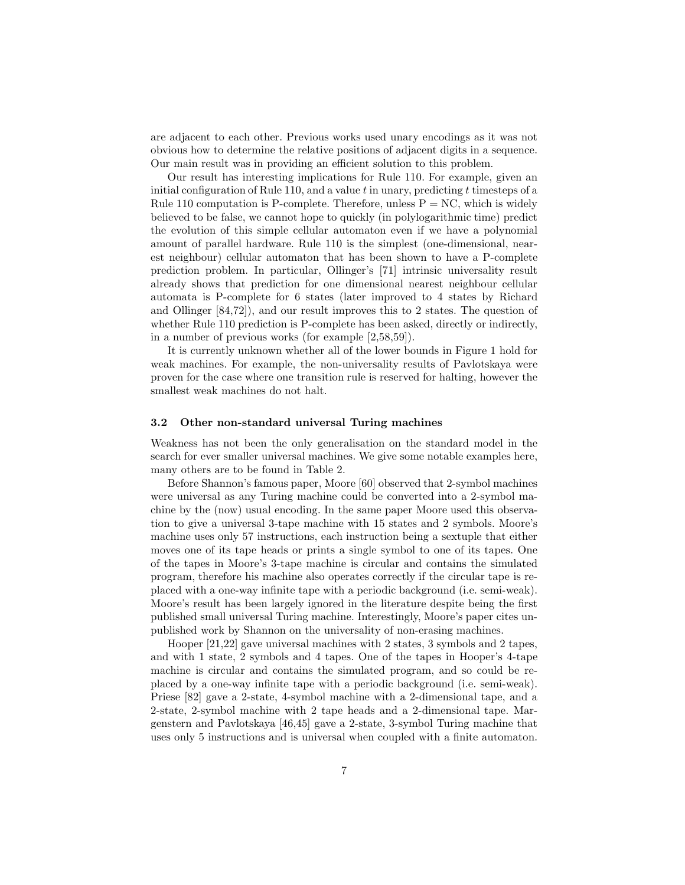are adjacent to each other. Previous works used unary encodings as it was not obvious how to determine the relative positions of adjacent digits in a sequence. Our main result was in providing an efficient solution to this problem.

Our result has interesting implications for Rule 110. For example, given an initial configuration of Rule 110, and a value  $t$  in unary, predicting  $t$  timesteps of a Rule 110 computation is P-complete. Therefore, unless  $P = NC$ , which is widely believed to be false, we cannot hope to quickly (in polylogarithmic time) predict the evolution of this simple cellular automaton even if we have a polynomial amount of parallel hardware. Rule 110 is the simplest (one-dimensional, nearest neighbour) cellular automaton that has been shown to have a P-complete prediction problem. In particular, Ollinger's [\[71\]](#page-16-10) intrinsic universality result already shows that prediction for one dimensional nearest neighbour cellular automata is P-complete for 6 states (later improved to 4 states by Richard and Ollinger [\[84](#page-17-7)[,72\]](#page-16-11)), and our result improves this to 2 states. The question of whether Rule 110 prediction is P-complete has been asked, directly or indirectly, in a number of previous works (for example [\[2,](#page-13-5)[58,](#page-16-12)[59\]](#page-16-13)).

It is currently unknown whether all of the lower bounds in Figure [1](#page-2-0) hold for weak machines. For example, the non-universality results of Pavlotskaya were proven for the case where one transition rule is reserved for halting, however the smallest weak machines do not halt.

#### 3.2 Other non-standard universal Turing machines

Weakness has not been the only generalisation on the standard model in the search for ever smaller universal machines. We give some notable examples here, many others are to be found in Table [2.](#page-20-0)

Before Shannon's famous paper, Moore [\[60\]](#page-16-14) observed that 2-symbol machines were universal as any Turing machine could be converted into a 2-symbol machine by the (now) usual encoding. In the same paper Moore used this observation to give a universal 3-tape machine with 15 states and 2 symbols. Moore's machine uses only 57 instructions, each instruction being a sextuple that either moves one of its tape heads or prints a single symbol to one of its tapes. One of the tapes in Moore's 3-tape machine is circular and contains the simulated program, therefore his machine also operates correctly if the circular tape is replaced with a one-way infinite tape with a periodic background (i.e. semi-weak). Moore's result has been largely ignored in the literature despite being the first published small universal Turing machine. Interestingly, Moore's paper cites unpublished work by Shannon on the universality of non-erasing machines.

Hooper [\[21](#page-14-8)[,22\]](#page-14-6) gave universal machines with 2 states, 3 symbols and 2 tapes, and with 1 state, 2 symbols and 4 tapes. One of the tapes in Hooper's 4-tape machine is circular and contains the simulated program, and so could be replaced by a one-way infinite tape with a periodic background (i.e. semi-weak). Priese [\[82\]](#page-17-8) gave a 2-state, 4-symbol machine with a 2-dimensional tape, and a 2-state, 2-symbol machine with 2 tape heads and a 2-dimensional tape. Margenstern and Pavlotskaya [\[46,](#page-15-6)[45\]](#page-15-7) gave a 2-state, 3-symbol Turing machine that uses only 5 instructions and is universal when coupled with a finite automaton.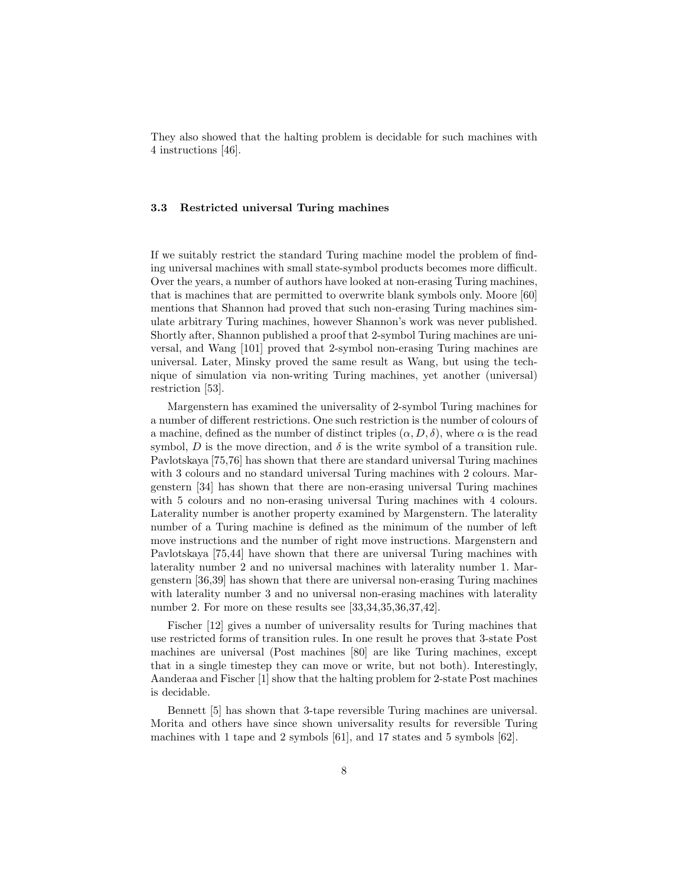They also showed that the halting problem is decidable for such machines with 4 instructions [\[46\]](#page-15-6).

#### 3.3 Restricted universal Turing machines

If we suitably restrict the standard Turing machine model the problem of finding universal machines with small state-symbol products becomes more difficult. Over the years, a number of authors have looked at non-erasing Turing machines, that is machines that are permitted to overwrite blank symbols only. Moore [\[60\]](#page-16-14) mentions that Shannon had proved that such non-erasing Turing machines simulate arbitrary Turing machines, however Shannon's work was never published. Shortly after, Shannon published a proof that 2-symbol Turing machines are universal, and Wang [\[101\]](#page-18-13) proved that 2-symbol non-erasing Turing machines are universal. Later, Minsky proved the same result as Wang, but using the technique of simulation via non-writing Turing machines, yet another (universal) restriction [\[53\]](#page-16-7).

Margenstern has examined the universality of 2-symbol Turing machines for a number of different restrictions. One such restriction is the number of colours of a machine, defined as the number of distinct triples  $(\alpha, D, \delta)$ , where  $\alpha$  is the read symbol, D is the move direction, and  $\delta$  is the write symbol of a transition rule. Pavlotskaya [\[75](#page-17-3)[,76\]](#page-17-9) has shown that there are standard universal Turing machines with 3 colours and no standard universal Turing machines with 2 colours. Margenstern [\[34\]](#page-15-3) has shown that there are non-erasing universal Turing machines with 5 colours and no non-erasing universal Turing machines with 4 colours. Laterality number is another property examined by Margenstern. The laterality number of a Turing machine is defined as the minimum of the number of left move instructions and the number of right move instructions. Margenstern and Pavlotskaya [\[75,](#page-17-3)[44\]](#page-15-8) have shown that there are universal Turing machines with laterality number 2 and no universal machines with laterality number 1. Margenstern [\[36,](#page-15-4)[39\]](#page-15-9) has shown that there are universal non-erasing Turing machines with laterality number 3 and no universal non-erasing machines with laterality number 2. For more on these results see [\[33,](#page-14-9)[34,](#page-15-3)[35](#page-15-10)[,36,](#page-15-4)[37](#page-15-11)[,42\]](#page-15-12).

Fischer [\[12\]](#page-13-2) gives a number of universality results for Turing machines that use restricted forms of transition rules. In one result he proves that 3-state Post machines are universal (Post machines [\[80\]](#page-17-10) are like Turing machines, except that in a single timestep they can move or write, but not both). Interestingly, Aanderaa and Fischer [\[1\]](#page-13-6) show that the halting problem for 2-state Post machines is decidable.

Bennett [\[5\]](#page-13-7) has shown that 3-tape reversible Turing machines are universal. Morita and others have since shown universality results for reversible Turing machines with 1 tape and 2 symbols [\[61\]](#page-16-15), and 17 states and 5 symbols [\[62\]](#page-16-16).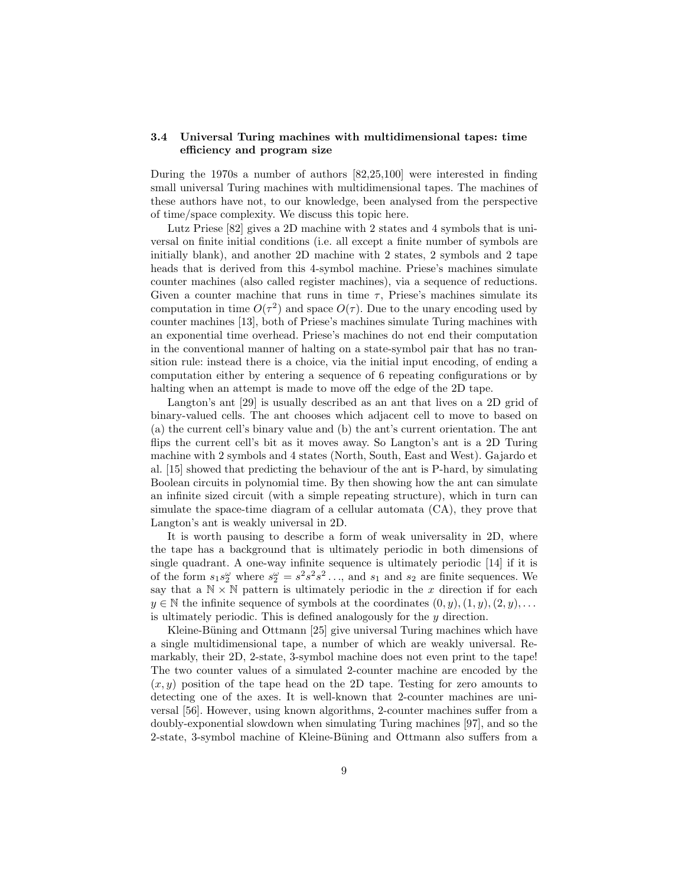#### 3.4 Universal Turing machines with multidimensional tapes: time efficiency and program size

During the 1970s a number of authors [\[82,](#page-17-8)[25,](#page-14-10)[100\]](#page-18-14) were interested in finding small universal Turing machines with multidimensional tapes. The machines of these authors have not, to our knowledge, been analysed from the perspective of time/space complexity. We discuss this topic here.

Lutz Priese [\[82\]](#page-17-8) gives a 2D machine with 2 states and 4 symbols that is universal on finite initial conditions (i.e. all except a finite number of symbols are initially blank), and another 2D machine with 2 states, 2 symbols and 2 tape heads that is derived from this 4-symbol machine. Priese's machines simulate counter machines (also called register machines), via a sequence of reductions. Given a counter machine that runs in time  $\tau$ , Priese's machines simulate its computation in time  $O(\tau^2)$  and space  $O(\tau)$ . Due to the unary encoding used by counter machines [\[13\]](#page-13-8), both of Priese's machines simulate Turing machines with an exponential time overhead. Priese's machines do not end their computation in the conventional manner of halting on a state-symbol pair that has no transition rule: instead there is a choice, via the initial input encoding, of ending a computation either by entering a sequence of 6 repeating configurations or by halting when an attempt is made to move off the edge of the 2D tape.

Langton's ant [\[29\]](#page-14-11) is usually described as an ant that lives on a 2D grid of binary-valued cells. The ant chooses which adjacent cell to move to based on (a) the current cell's binary value and (b) the ant's current orientation. The ant flips the current cell's bit as it moves away. So Langton's ant is a 2D Turing machine with 2 symbols and 4 states (North, South, East and West). Gajardo et al. [\[15\]](#page-14-12) showed that predicting the behaviour of the ant is P-hard, by simulating Boolean circuits in polynomial time. By then showing how the ant can simulate an infinite sized circuit (with a simple repeating structure), which in turn can simulate the space-time diagram of a cellular automata (CA), they prove that Langton's ant is weakly universal in 2D.

It is worth pausing to describe a form of weak universality in 2D, where the tape has a background that is ultimately periodic in both dimensions of single quadrant. A one-way infinite sequence is ultimately periodic [\[14\]](#page-14-13) if it is of the form  $s_1 s_2^{\omega}$  where  $s_2^{\omega} = s^2 s^2 s^2 \dots$ , and  $s_1$  and  $s_2$  are finite sequences. We say that a  $N \times N$  pattern is ultimately periodic in the x direction if for each  $y \in \mathbb{N}$  the infinite sequence of symbols at the coordinates  $(0, y), (1, y), (2, y), \ldots$ is ultimately periodic. This is defined analogously for the  $y$  direction.

Kleine-Büning and Ottmann [\[25\]](#page-14-10) give universal Turing machines which have a single multidimensional tape, a number of which are weakly universal. Remarkably, their 2D, 2-state, 3-symbol machine does not even print to the tape! The two counter values of a simulated 2-counter machine are encoded by the  $(x, y)$  position of the tape head on the 2D tape. Testing for zero amounts to detecting one of the axes. It is well-known that 2-counter machines are universal [\[56\]](#page-16-17). However, using known algorithms, 2-counter machines suffer from a doubly-exponential slowdown when simulating Turing machines [\[97\]](#page-18-15), and so the 2-state, 3-symbol machine of Kleine-Büning and Ottmann also suffers from a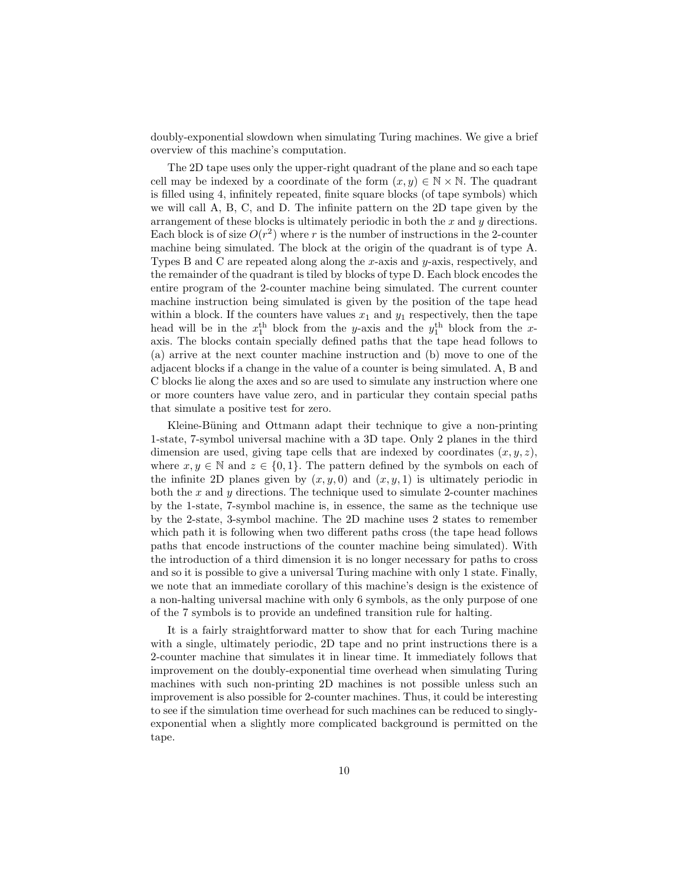doubly-exponential slowdown when simulating Turing machines. We give a brief overview of this machine's computation.

The 2D tape uses only the upper-right quadrant of the plane and so each tape cell may be indexed by a coordinate of the form  $(x, y) \in \mathbb{N} \times \mathbb{N}$ . The quadrant is filled using 4, infinitely repeated, finite square blocks (of tape symbols) which we will call A, B, C, and D. The infinite pattern on the 2D tape given by the arrangement of these blocks is ultimately periodic in both the  $x$  and  $y$  directions. Each block is of size  $O(r^2)$  where r is the number of instructions in the 2-counter machine being simulated. The block at the origin of the quadrant is of type A. Types B and C are repeated along along the x-axis and y-axis, respectively, and the remainder of the quadrant is tiled by blocks of type D. Each block encodes the entire program of the 2-counter machine being simulated. The current counter machine instruction being simulated is given by the position of the tape head within a block. If the counters have values  $x_1$  and  $y_1$  respectively, then the tape head will be in the  $x_1^{\text{th}}$  block from the y-axis and the  $y_1^{\text{th}}$  block from the xaxis. The blocks contain specially defined paths that the tape head follows to (a) arrive at the next counter machine instruction and (b) move to one of the adjacent blocks if a change in the value of a counter is being simulated. A, B and C blocks lie along the axes and so are used to simulate any instruction where one or more counters have value zero, and in particular they contain special paths that simulate a positive test for zero.

Kleine-Büning and Ottmann adapt their technique to give a non-printing 1-state, 7-symbol universal machine with a 3D tape. Only 2 planes in the third dimension are used, giving tape cells that are indexed by coordinates  $(x, y, z)$ , where  $x, y \in \mathbb{N}$  and  $z \in \{0, 1\}$ . The pattern defined by the symbols on each of the infinite 2D planes given by  $(x, y, 0)$  and  $(x, y, 1)$  is ultimately periodic in both the  $x$  and  $y$  directions. The technique used to simulate 2-counter machines by the 1-state, 7-symbol machine is, in essence, the same as the technique use by the 2-state, 3-symbol machine. The 2D machine uses 2 states to remember which path it is following when two different paths cross (the tape head follows paths that encode instructions of the counter machine being simulated). With the introduction of a third dimension it is no longer necessary for paths to cross and so it is possible to give a universal Turing machine with only 1 state. Finally, we note that an immediate corollary of this machine's design is the existence of a non-halting universal machine with only 6 symbols, as the only purpose of one of the 7 symbols is to provide an undefined transition rule for halting.

It is a fairly straightforward matter to show that for each Turing machine with a single, ultimately periodic, 2D tape and no print instructions there is a 2-counter machine that simulates it in linear time. It immediately follows that improvement on the doubly-exponential time overhead when simulating Turing machines with such non-printing 2D machines is not possible unless such an improvement is also possible for 2-counter machines. Thus, it could be interesting to see if the simulation time overhead for such machines can be reduced to singlyexponential when a slightly more complicated background is permitted on the tape.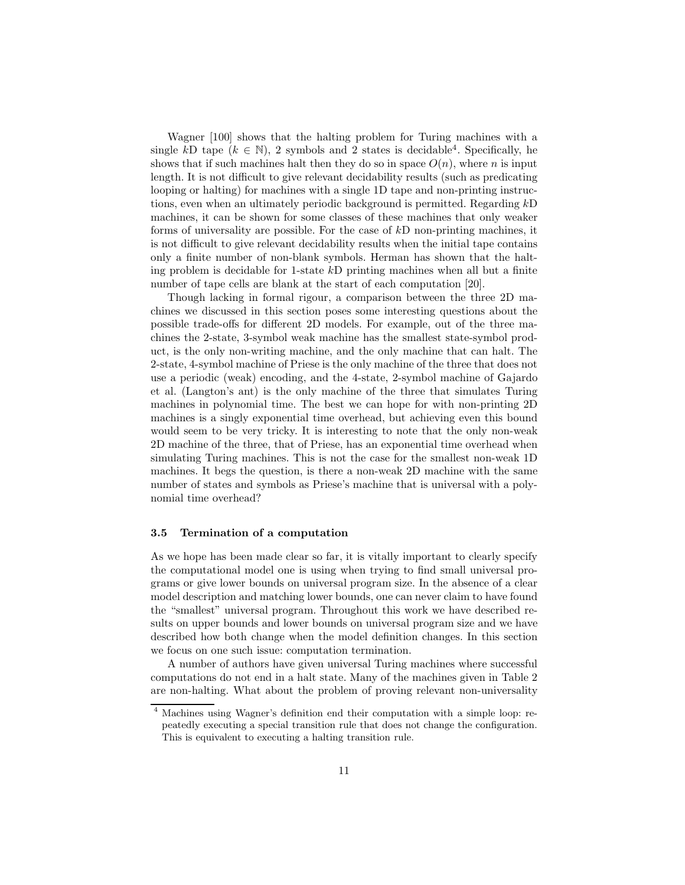Wagner [\[100\]](#page-18-14) shows that the halting problem for Turing machines with a single kD tape  $(k \in \mathbb{N})$ , 2 symbols and 2 states is decidable<sup>[4](#page-10-0)</sup>. Specifically, he shows that if such machines halt then they do so in space  $O(n)$ , where n is input length. It is not difficult to give relevant decidability results (such as predicating looping or halting) for machines with a single 1D tape and non-printing instructions, even when an ultimately periodic background is permitted. Regarding kD machines, it can be shown for some classes of these machines that only weaker forms of universality are possible. For the case of  $kD$  non-printing machines, it is not difficult to give relevant decidability results when the initial tape contains only a finite number of non-blank symbols. Herman has shown that the halting problem is decidable for 1-state kD printing machines when all but a finite number of tape cells are blank at the start of each computation [\[20\]](#page-14-14).

Though lacking in formal rigour, a comparison between the three 2D machines we discussed in this section poses some interesting questions about the possible trade-offs for different 2D models. For example, out of the three machines the 2-state, 3-symbol weak machine has the smallest state-symbol product, is the only non-writing machine, and the only machine that can halt. The 2-state, 4-symbol machine of Priese is the only machine of the three that does not use a periodic (weak) encoding, and the 4-state, 2-symbol machine of Gajardo et al. (Langton's ant) is the only machine of the three that simulates Turing machines in polynomial time. The best we can hope for with non-printing 2D machines is a singly exponential time overhead, but achieving even this bound would seem to be very tricky. It is interesting to note that the only non-weak 2D machine of the three, that of Priese, has an exponential time overhead when simulating Turing machines. This is not the case for the smallest non-weak 1D machines. It begs the question, is there a non-weak 2D machine with the same number of states and symbols as Priese's machine that is universal with a polynomial time overhead?

#### 3.5 Termination of a computation

As we hope has been made clear so far, it is vitally important to clearly specify the computational model one is using when trying to find small universal programs or give lower bounds on universal program size. In the absence of a clear model description and matching lower bounds, one can never claim to have found the "smallest" universal program. Throughout this work we have described results on upper bounds and lower bounds on universal program size and we have described how both change when the model definition changes. In this section we focus on one such issue: computation termination.

A number of authors have given universal Turing machines where successful computations do not end in a halt state. Many of the machines given in Table [2](#page-20-0) are non-halting. What about the problem of proving relevant non-universality

<span id="page-10-0"></span><sup>4</sup> Machines using Wagner's definition end their computation with a simple loop: repeatedly executing a special transition rule that does not change the configuration. This is equivalent to executing a halting transition rule.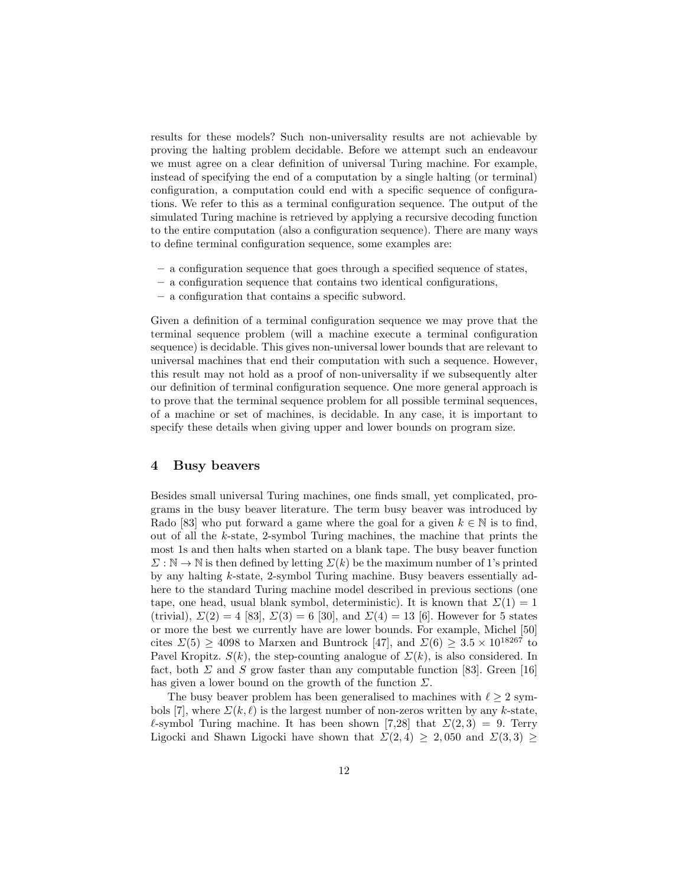results for these models? Such non-universality results are not achievable by proving the halting problem decidable. Before we attempt such an endeavour we must agree on a clear definition of universal Turing machine. For example, instead of specifying the end of a computation by a single halting (or terminal) configuration, a computation could end with a specific sequence of configurations. We refer to this as a terminal configuration sequence. The output of the simulated Turing machine is retrieved by applying a recursive decoding function to the entire computation (also a configuration sequence). There are many ways to define terminal configuration sequence, some examples are:

- a configuration sequence that goes through a specified sequence of states,
- a configuration sequence that contains two identical configurations,
- a configuration that contains a specific subword.

Given a definition of a terminal configuration sequence we may prove that the terminal sequence problem (will a machine execute a terminal configuration sequence) is decidable. This gives non-universal lower bounds that are relevant to universal machines that end their computation with such a sequence. However, this result may not hold as a proof of non-universality if we subsequently alter our definition of terminal configuration sequence. One more general approach is to prove that the terminal sequence problem for all possible terminal sequences, of a machine or set of machines, is decidable. In any case, it is important to specify these details when giving upper and lower bounds on program size.

## 4 Busy beavers

Besides small universal Turing machines, one finds small, yet complicated, programs in the busy beaver literature. The term busy beaver was introduced by Rado [\[83\]](#page-17-11) who put forward a game where the goal for a given  $k \in \mathbb{N}$  is to find, out of all the k-state, 2-symbol Turing machines, the machine that prints the most 1s and then halts when started on a blank tape. The busy beaver function  $\Sigma : \mathbb{N} \to \mathbb{N}$  is then defined by letting  $\Sigma(k)$  be the maximum number of 1's printed by any halting k-state, 2-symbol Turing machine. Busy beavers essentially adhere to the standard Turing machine model described in previous sections (one tape, one head, usual blank symbol, deterministic). It is known that  $\Sigma(1) = 1$ (trivial),  $\Sigma(2) = 4$  [\[83\]](#page-17-11),  $\Sigma(3) = 6$  [\[30\]](#page-14-15), and  $\Sigma(4) = 13$  [\[6\]](#page-13-9). However for 5 states or more the best we currently have are lower bounds. For example, Michel [\[50\]](#page-15-13) cites  $\Sigma(5) \geq 4098$  to Marxen and Buntrock [\[47\]](#page-15-14), and  $\Sigma(6) \geq 3.5 \times 10^{18267}$  to Pavel Kropitz.  $S(k)$ , the step-counting analogue of  $\Sigma(k)$ , is also considered. In fact, both  $\Sigma$  and  $S$  grow faster than any computable function [\[83\]](#page-17-11). Green [\[16\]](#page-14-16) has given a lower bound on the growth of the function  $\Sigma$ .

The busy beaver problem has been generalised to machines with  $\ell \geq 2$  sym-bols [\[7\]](#page-13-10), where  $\Sigma(k,\ell)$  is the largest number of non-zeros written by any k-state,  $\ell$ -symbol Turing machine. It has been shown [\[7,](#page-13-10)[28\]](#page-14-17) that  $\Sigma(2,3) = 9$ . Terry Ligocki and Shawn Ligocki have shown that  $\Sigma(2,4) \geq 2,050$  and  $\Sigma(3,3) \geq$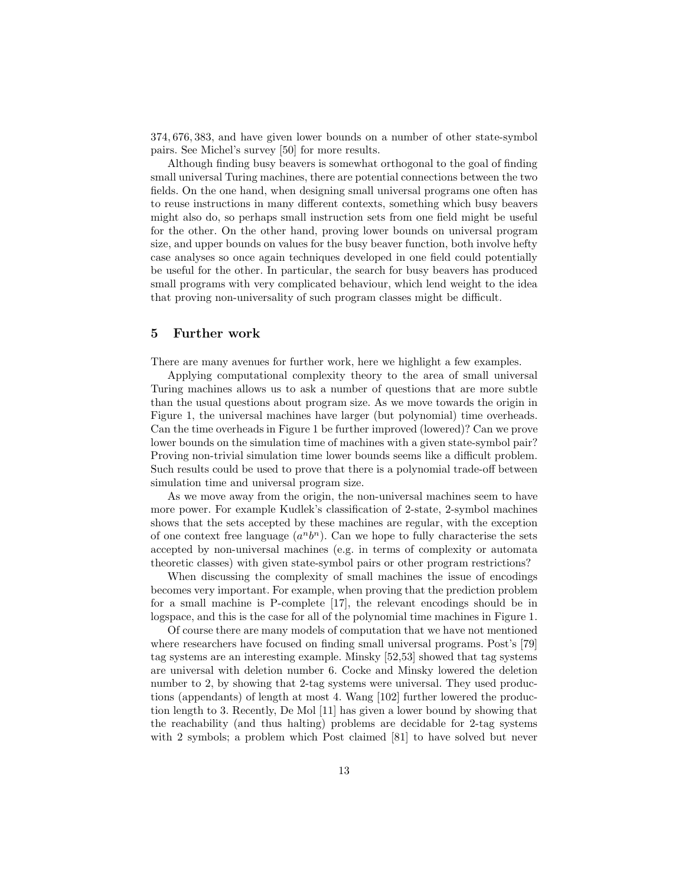374, 676, 383, and have given lower bounds on a number of other state-symbol pairs. See Michel's survey [\[50\]](#page-15-13) for more results.

Although finding busy beavers is somewhat orthogonal to the goal of finding small universal Turing machines, there are potential connections between the two fields. On the one hand, when designing small universal programs one often has to reuse instructions in many different contexts, something which busy beavers might also do, so perhaps small instruction sets from one field might be useful for the other. On the other hand, proving lower bounds on universal program size, and upper bounds on values for the busy beaver function, both involve hefty case analyses so once again techniques developed in one field could potentially be useful for the other. In particular, the search for busy beavers has produced small programs with very complicated behaviour, which lend weight to the idea that proving non-universality of such program classes might be difficult.

#### 5 Further work

There are many avenues for further work, here we highlight a few examples.

Applying computational complexity theory to the area of small universal Turing machines allows us to ask a number of questions that are more subtle than the usual questions about program size. As we move towards the origin in Figure [1,](#page-2-0) the universal machines have larger (but polynomial) time overheads. Can the time overheads in Figure [1](#page-2-0) be further improved (lowered)? Can we prove lower bounds on the simulation time of machines with a given state-symbol pair? Proving non-trivial simulation time lower bounds seems like a difficult problem. Such results could be used to prove that there is a polynomial trade-off between simulation time and universal program size.

As we move away from the origin, the non-universal machines seem to have more power. For example Kudlek's classification of 2-state, 2-symbol machines shows that the sets accepted by these machines are regular, with the exception of one context free language  $(a^n b^n)$ . Can we hope to fully characterise the sets accepted by non-universal machines (e.g. in terms of complexity or automata theoretic classes) with given state-symbol pairs or other program restrictions?

When discussing the complexity of small machines the issue of encodings becomes very important. For example, when proving that the prediction problem for a small machine is P-complete [\[17\]](#page-14-18), the relevant encodings should be in logspace, and this is the case for all of the polynomial time machines in Figure [1.](#page-2-0)

Of course there are many models of computation that we have not mentioned where researchers have focused on finding small universal programs. Post's [\[79\]](#page-17-5) tag systems are an interesting example. Minsky [\[52](#page-16-18)[,53\]](#page-16-7) showed that tag systems are universal with deletion number 6. Cocke and Minsky lowered the deletion number to 2, by showing that 2-tag systems were universal. They used productions (appendants) of length at most 4. Wang [\[102\]](#page-18-16) further lowered the production length to 3. Recently, De Mol [\[11\]](#page-13-11) has given a lower bound by showing that the reachability (and thus halting) problems are decidable for 2-tag systems with 2 symbols; a problem which Post claimed [\[81\]](#page-17-12) to have solved but never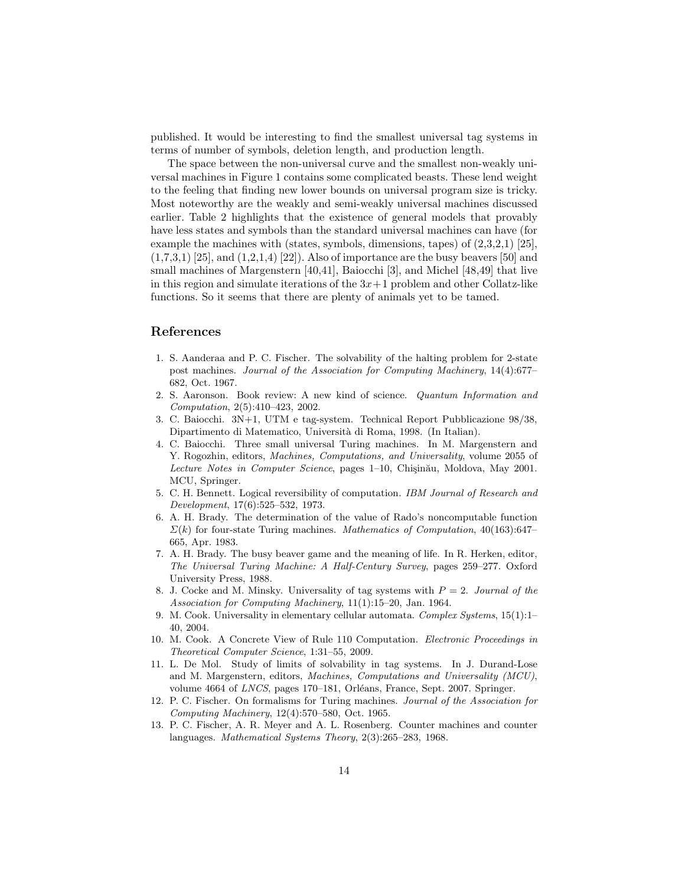published. It would be interesting to find the smallest universal tag systems in terms of number of symbols, deletion length, and production length.

The space between the non-universal curve and the smallest non-weakly universal machines in Figure [1](#page-2-0) contains some complicated beasts. These lend weight to the feeling that finding new lower bounds on universal program size is tricky. Most noteworthy are the weakly and semi-weakly universal machines discussed earlier. Table [2](#page-20-0) highlights that the existence of general models that provably have less states and symbols than the standard universal machines can have (for example the machines with (states, symbols, dimensions, tapes) of  $(2,3,2,1)$  [\[25\]](#page-14-10),  $(1,7,3,1)$  [\[25\]](#page-14-10), and  $(1,2,1,4)$  [\[22\]](#page-14-6)). Also of importance are the busy beavers [\[50\]](#page-15-13) and small machines of Margenstern [\[40](#page-15-15)[,41\]](#page-15-1), Baiocchi [\[3\]](#page-13-12), and Michel [\[48,](#page-15-16)[49\]](#page-15-17) that live in this region and simulate iterations of the  $3x+1$  problem and other Collatz-like functions. So it seems that there are plenty of animals yet to be tamed.

## <span id="page-13-6"></span>References

- 1. S. Aanderaa and P. C. Fischer. The solvability of the halting problem for 2-state post machines. *Journal of the Association for Computing Machinery*, 14(4):677– 682, Oct. 1967.
- <span id="page-13-5"></span>2. S. Aaronson. Book review: A new kind of science. *Quantum Information and Computation*, 2(5):410–423, 2002.
- <span id="page-13-12"></span>3. C. Baiocchi. 3N+1, UTM e tag-system. Technical Report Pubblicazione 98/38, Dipartimento di Matematico, Universit`a di Roma, 1998. (In Italian).
- <span id="page-13-1"></span>4. C. Baiocchi. Three small universal Turing machines. In M. Margenstern and Y. Rogozhin, editors, *Machines, Computations, and Universality*, volume 2055 of *Lecture Notes in Computer Science*, pages 1–10, Chișinău, Moldova, May 2001. MCU, Springer.
- <span id="page-13-7"></span>5. C. H. Bennett. Logical reversibility of computation. *IBM Journal of Research and Development*, 17(6):525–532, 1973.
- <span id="page-13-9"></span>6. A. H. Brady. The determination of the value of Rado's noncomputable function  $\Sigma(k)$  for four-state Turing machines. *Mathematics of Computation*, 40(163):647– 665, Apr. 1983.
- <span id="page-13-10"></span>7. A. H. Brady. The busy beaver game and the meaning of life. In R. Herken, editor, *The Universal Turing Machine: A Half-Century Survey*, pages 259–277. Oxford University Press, 1988.
- <span id="page-13-0"></span>8. J. Cocke and M. Minsky. Universality of tag systems with P = 2. *Journal of the Association for Computing Machinery*, 11(1):15–20, Jan. 1964.
- <span id="page-13-3"></span>9. M. Cook. Universality in elementary cellular automata. *Complex Systems*, 15(1):1– 40, 2004.
- <span id="page-13-4"></span>10. M. Cook. A Concrete View of Rule 110 Computation. *Electronic Proceedings in Theoretical Computer Science*, 1:31–55, 2009.
- <span id="page-13-11"></span>11. L. De Mol. Study of limits of solvability in tag systems. In J. Durand-Lose and M. Margenstern, editors, *Machines, Computations and Universality (MCU)*, volume 4664 of *LNCS*, pages 170-181, Orléans, France, Sept. 2007. Springer.
- <span id="page-13-2"></span>12. P. C. Fischer. On formalisms for Turing machines. *Journal of the Association for Computing Machinery*, 12(4):570–580, Oct. 1965.
- <span id="page-13-8"></span>13. P. C. Fischer, A. R. Meyer and A. L. Rosenberg. Counter machines and counter languages. *Mathematical Systems Theory*, 2(3):265–283, 1968.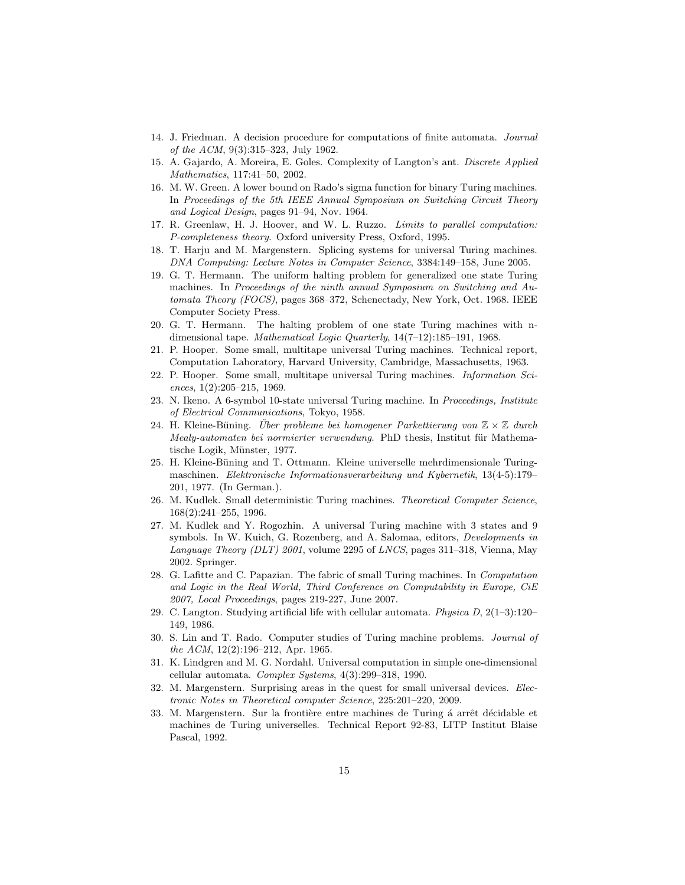- <span id="page-14-13"></span><span id="page-14-12"></span>14. J. Friedman. A decision procedure for computations of finite automata. *Journal of the ACM*, 9(3):315–323, July 1962.
- <span id="page-14-16"></span>15. A. Gajardo, A. Moreira, E. Goles. Complexity of Langton's ant. *Discrete Applied Mathematics*, 117:41–50, 2002.
- 16. M. W. Green. A lower bound on Rado's sigma function for binary Turing machines. In *Proceedings of the 5th IEEE Annual Symposium on Switching Circuit Theory and Logical Design*, pages 91–94, Nov. 1964.
- <span id="page-14-18"></span>17. R. Greenlaw, H. J. Hoover, and W. L. Ruzzo. *Limits to parallel computation: P-completeness theory*. Oxford university Press, Oxford, 1995.
- <span id="page-14-5"></span>18. T. Harju and M. Margenstern. Splicing systems for universal Turing machines. *DNA Computing: Lecture Notes in Computer Science*, 3384:149–158, June 2005.
- <span id="page-14-3"></span>19. G. T. Hermann. The uniform halting problem for generalized one state Turing machines. In *Proceedings of the ninth annual Symposium on Switching and Automata Theory (FOCS)*, pages 368–372, Schenectady, New York, Oct. 1968. IEEE Computer Society Press.
- <span id="page-14-14"></span>20. G. T. Hermann. The halting problem of one state Turing machines with ndimensional tape. *Mathematical Logic Quarterly*, 14(7–12):185–191, 1968.
- <span id="page-14-8"></span>21. P. Hooper. Some small, multitape universal Turing machines. Technical report, Computation Laboratory, Harvard University, Cambridge, Massachusetts, 1963.
- <span id="page-14-6"></span>22. P. Hooper. Some small, multitape universal Turing machines. *Information Sciences*, 1(2):205–215, 1969.
- <span id="page-14-19"></span><span id="page-14-1"></span>23. N. Ikeno. A 6-symbol 10-state universal Turing machine. In *Proceedings, Institute of Electrical Communications*, Tokyo, 1958.
- 24. H. Kleine-Büning. *Uber probleme bei homogener Parkettierung von*  $\mathbb{Z} \times \mathbb{Z}$  durch *Mealy-automaten bei normierter verwendung*. PhD thesis, Institut für Mathematische Logik, Münster, 1977.
- <span id="page-14-10"></span>25. H. Kleine-Büning and T. Ottmann. Kleine universelle mehrdimensionale Turingmaschinen. *Elektronische Informationsverarbeitung und Kybernetik*, 13(4-5):179– 201, 1977. (In German.).
- <span id="page-14-4"></span>26. M. Kudlek. Small deterministic Turing machines. *Theoretical Computer Science*, 168(2):241–255, 1996.
- <span id="page-14-2"></span>27. M. Kudlek and Y. Rogozhin. A universal Turing machine with 3 states and 9 symbols. In W. Kuich, G. Rozenberg, and A. Salomaa, editors, *Developments in Language Theory (DLT) 2001*, volume 2295 of *LNCS*, pages 311–318, Vienna, May 2002. Springer.
- <span id="page-14-17"></span>28. G. Lafitte and C. Papazian. The fabric of small Turing machines. In *Computation and Logic in the Real World, Third Conference on Computability in Europe, CiE 2007, Local Proceedings*, pages 219-227, June 2007.
- <span id="page-14-11"></span>29. C. Langton. Studying artificial life with cellular automata. *Physica D*, 2(1–3):120– 149, 1986.
- <span id="page-14-15"></span>30. S. Lin and T. Rado. Computer studies of Turing machine problems. *Journal of the ACM*, 12(2):196–212, Apr. 1965.
- <span id="page-14-7"></span>31. K. Lindgren and M. G. Nordahl. Universal computation in simple one-dimensional cellular automata. *Complex Systems*, 4(3):299–318, 1990.
- <span id="page-14-0"></span>32. M. Margenstern. Surprising areas in the quest for small universal devices. *Electronic Notes in Theoretical computer Science*, 225:201–220, 2009.
- <span id="page-14-9"></span>33. M. Margenstern. Sur la frontière entre machines de Turing à arrêt décidable et machines de Turing universelles. Technical Report 92-83, LITP Institut Blaise Pascal, 1992.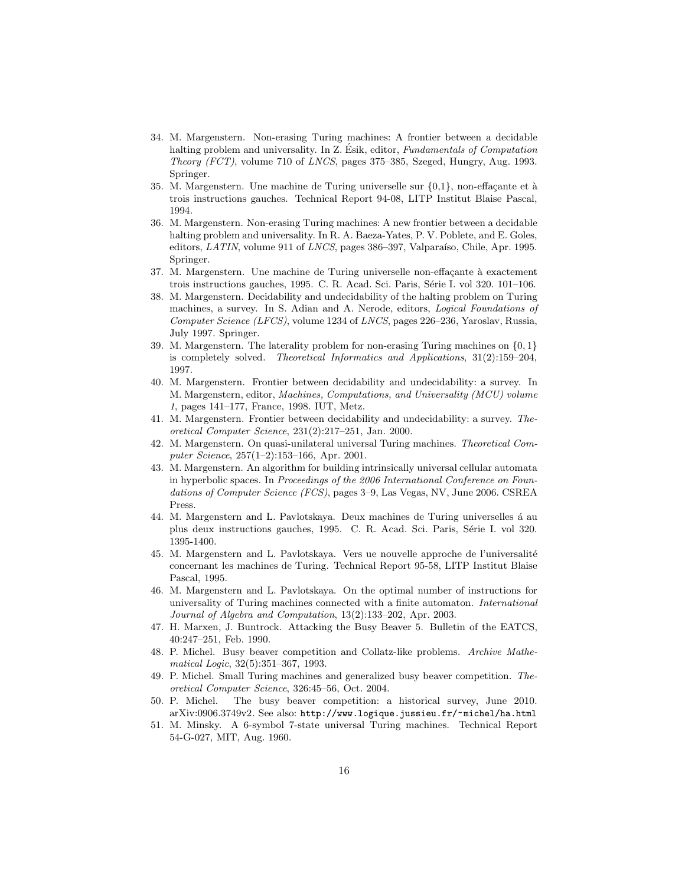- <span id="page-15-3"></span>34. M. Margenstern. Non-erasing Turing machines: A frontier between a decidable halting problem and universality. In Z. Esik, editor, *Fundamentals of Computation Theory (FCT)*, volume 710 of *LNCS*, pages 375–385, Szeged, Hungry, Aug. 1993. Springer.
- <span id="page-15-10"></span>35. M. Margenstern. Une machine de Turing universelle sur  $\{0,1\}$ , non-effaçante et à trois instructions gauches. Technical Report 94-08, LITP Institut Blaise Pascal, 1994.
- <span id="page-15-4"></span>36. M. Margenstern. Non-erasing Turing machines: A new frontier between a decidable halting problem and universality. In R. A. Baeza-Yates, P. V. Poblete, and E. Goles, editors, *LATIN*, volume 911 of *LNCS*, pages 386–397, Valparaíso, Chile, Apr. 1995. Springer.
- <span id="page-15-11"></span>37. M. Margenstern. Une machine de Turing universelle non-effaçante à exactement trois instructions gauches, 1995. C. R. Acad. Sci. Paris, Série I. vol 320. 101–106.
- <span id="page-15-0"></span>38. M. Margenstern. Decidability and undecidability of the halting problem on Turing machines, a survey. In S. Adian and A. Nerode, editors, *Logical Foundations of Computer Science (LFCS)*, volume 1234 of *LNCS*, pages 226–236, Yaroslav, Russia, July 1997. Springer.
- <span id="page-15-9"></span>39. M. Margenstern. The laterality problem for non-erasing Turing machines on  $\{0, 1\}$ is completely solved. *Theoretical Informatics and Applications*, 31(2):159–204, 1997.
- <span id="page-15-15"></span>40. M. Margenstern. Frontier between decidability and undecidability: a survey. In M. Margenstern, editor, *Machines, Computations, and Universality (MCU) volume 1*, pages 141–177, France, 1998. IUT, Metz.
- <span id="page-15-1"></span>41. M. Margenstern. Frontier between decidability and undecidability: a survey. *Theoretical Computer Science*, 231(2):217–251, Jan. 2000.
- <span id="page-15-12"></span>42. M. Margenstern. On quasi-unilateral universal Turing machines. *Theoretical Computer Science*, 257(1–2):153–166, Apr. 2001.
- <span id="page-15-5"></span>43. M. Margenstern. An algorithm for building intrinsically universal cellular automata in hyperbolic spaces. In *Proceedings of the 2006 International Conference on Foundations of Computer Science (FCS)*, pages 3–9, Las Vegas, NV, June 2006. CSREA Press.
- <span id="page-15-8"></span>44. M. Margenstern and L. Pavlotskaya. Deux machines de Turing universelles á au plus deux instructions gauches, 1995. C. R. Acad. Sci. Paris, S´erie I. vol 320. 1395-1400.
- <span id="page-15-7"></span>45. M. Margenstern and L. Pavlotskaya. Vers ue nouvelle approche de l'universalité concernant les machines de Turing. Technical Report 95-58, LITP Institut Blaise Pascal, 1995.
- <span id="page-15-6"></span>46. M. Margenstern and L. Pavlotskaya. On the optimal number of instructions for universality of Turing machines connected with a finite automaton. *International Journal of Algebra and Computation*, 13(2):133–202, Apr. 2003.
- <span id="page-15-14"></span>47. H. Marxen, J. Buntrock. Attacking the Busy Beaver 5. Bulletin of the EATCS, 40:247–251, Feb. 1990.
- <span id="page-15-16"></span>48. P. Michel. Busy beaver competition and Collatz-like problems. *Archive Mathematical Logic*, 32(5):351–367, 1993.
- <span id="page-15-17"></span>49. P. Michel. Small Turing machines and generalized busy beaver competition. *Theoretical Computer Science*, 326:45–56, Oct. 2004.
- <span id="page-15-13"></span>50. P. Michel. The busy beaver competition: a historical survey, June 2010. [arXiv:0906.3749v2.](http://arxiv.org/abs/0906.3749v2) See also: <http://www.logique.jussieu.fr/~michel/ha.html>
- <span id="page-15-2"></span>51. M. Minsky. A 6-symbol 7-state universal Turing machines. Technical Report 54-G-027, MIT, Aug. 1960.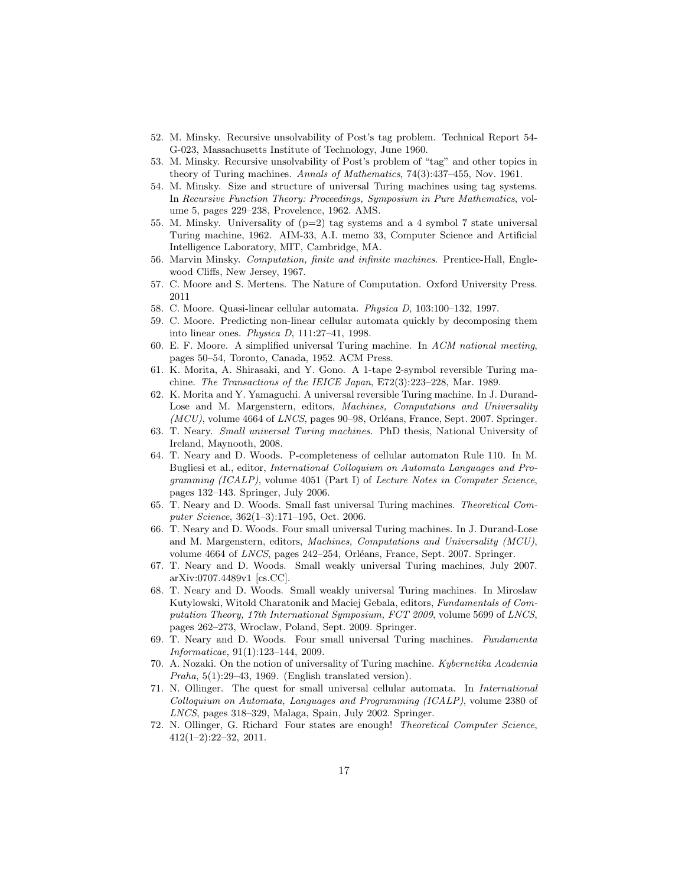- <span id="page-16-18"></span><span id="page-16-7"></span>52. M. Minsky. Recursive unsolvability of Post's tag problem. Technical Report 54- G-023, Massachusetts Institute of Technology, June 1960.
- <span id="page-16-1"></span>53. M. Minsky. Recursive unsolvability of Post's problem of "tag" and other topics in theory of Turing machines. *Annals of Mathematics*, 74(3):437–455, Nov. 1961.
- 54. M. Minsky. Size and structure of universal Turing machines using tag systems. In *Recursive Function Theory: Proceedings, Symposium in Pure Mathematics*, volume 5, pages 229–238, Provelence, 1962. AMS.
- <span id="page-16-2"></span>55. M. Minsky. Universality of  $(p=2)$  tag systems and a 4 symbol 7 state universal Turing machine, 1962. AIM-33, A.I. memo 33, Computer Science and Artificial Intelligence Laboratory, MIT, Cambridge, MA.
- <span id="page-16-17"></span>56. Marvin Minsky. *Computation, finite and infinite machines*. Prentice-Hall, Englewood Cliffs, New Jersey, 1967.
- <span id="page-16-12"></span><span id="page-16-0"></span>57. C. Moore and S. Mertens. The Nature of Computation. Oxford University Press. 2011
- <span id="page-16-13"></span>58. C. Moore. Quasi-linear cellular automata. *Physica D*, 103:100–132, 1997.
- 59. C. Moore. Predicting non-linear cellular automata quickly by decomposing them into linear ones. *Physica D*, 111:27–41, 1998.
- <span id="page-16-14"></span>60. E. F. Moore. A simplified universal Turing machine. In *ACM national meeting*, pages 50–54, Toronto, Canada, 1952. ACM Press.
- <span id="page-16-15"></span>61. K. Morita, A. Shirasaki, and Y. Gono. A 1-tape 2-symbol reversible Turing machine. *The Transactions of the IEICE Japan*, E72(3):223–228, Mar. 1989.
- <span id="page-16-16"></span>62. K. Morita and Y. Yamaguchi. A universal reversible Turing machine. In J. Durand-Lose and M. Margenstern, editors, *Machines, Computations and Universality*  $(MCU)$ , volume 4664 of *LNCS*, pages 90–98, Orléans, France, Sept. 2007. Springer.
- <span id="page-16-8"></span>63. T. Neary. *Small universal Turing machines*. PhD thesis, National University of Ireland, Maynooth, 2008.
- <span id="page-16-9"></span>64. T. Neary and D. Woods. P-completeness of cellular automaton Rule 110. In M. Bugliesi et al., editor, *International Colloquium on Automata Languages and Programming (ICALP)*, volume 4051 (Part I) of *Lecture Notes in Computer Science*, pages 132–143. Springer, July 2006.
- <span id="page-16-4"></span>65. T. Neary and D. Woods. Small fast universal Turing machines. *Theoretical Computer Science*, 362(1–3):171–195, Oct. 2006.
- <span id="page-16-19"></span>66. T. Neary and D. Woods. Four small universal Turing machines. In J. Durand-Lose and M. Margenstern, editors, *Machines, Computations and Universality (MCU)*, volume 4664 of *LNCS*, pages 242–254, Orléans, France, Sept. 2007. Springer.
- 67. T. Neary and D. Woods. Small weakly universal Turing machines, July 2007. [arXiv:0707.4489v1](http://arxiv.org/abs/0707.4489v1) [cs.CC].
- <span id="page-16-6"></span>68. T. Neary and D. Woods. Small weakly universal Turing machines. In Miroslaw Kutylowski, Witold Charatonik and Maciej Gebala, editors, *Fundamentals of Computation Theory, 17th International Symposium, FCT 2009*, volume 5699 of *LNCS*, pages 262–273, Wroclaw, Poland, Sept. 2009. Springer.
- <span id="page-16-5"></span>69. T. Neary and D. Woods. Four small universal Turing machines. *Fundamenta Informaticae*, 91(1):123–144, 2009.
- <span id="page-16-3"></span>70. A. Nozaki. On the notion of universality of Turing machine. *Kybernetika Academia Praha*, 5(1):29–43, 1969. (English translated version).
- <span id="page-16-10"></span>71. N. Ollinger. The quest for small universal cellular automata. In *International Colloquium on Automata, Languages and Programming (ICALP)*, volume 2380 of *LNCS*, pages 318–329, Malaga, Spain, July 2002. Springer.
- <span id="page-16-11"></span>72. N. Ollinger, G. Richard Four states are enough! *Theoretical Computer Science*, 412(1–2):22–32, 2011.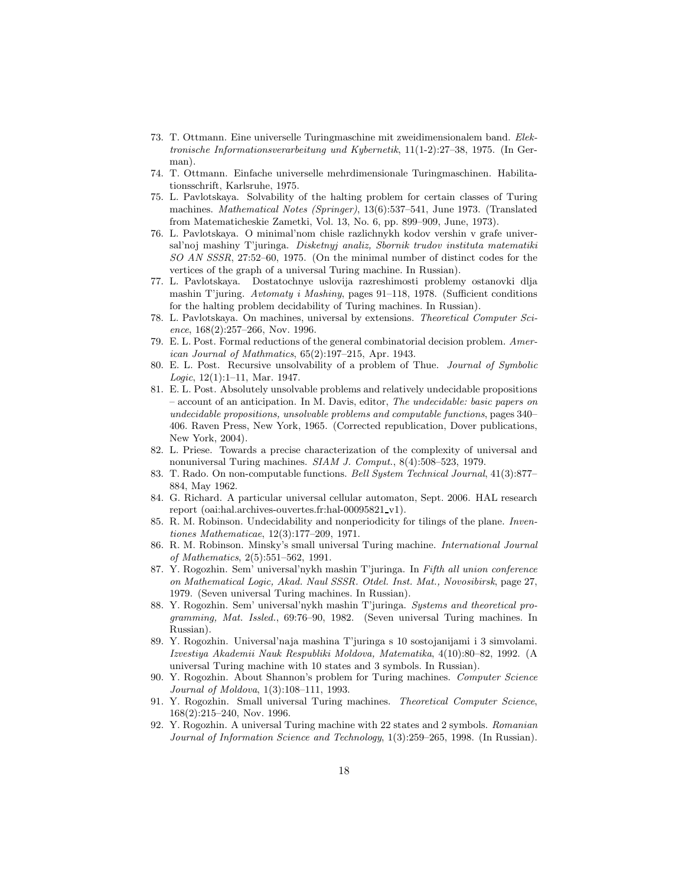- <span id="page-17-17"></span>73. T. Ottmann. Eine universelle Turingmaschine mit zweidimensionalem band. *Elektronische Informationsverarbeitung und Kybernetik*, 11(1-2):27–38, 1975. (In German).
- <span id="page-17-18"></span><span id="page-17-3"></span>74. T. Ottmann. Einfache universelle mehrdimensionale Turingmaschinen. Habilitationsschrift, Karlsruhe, 1975.
- 75. L. Pavlotskaya. Solvability of the halting problem for certain classes of Turing machines. *Mathematical Notes (Springer)*, 13(6):537–541, June 1973. (Translated from Matematicheskie Zametki, Vol. 13, No. 6, pp. 899–909, June, 1973).
- <span id="page-17-9"></span>76. L. Pavlotskaya. O minimal'nom chisle razlichnykh kodov vershin v grafe universal'noj mashiny T'juringa. *Disketnyj analiz, Sbornik trudov instituta matematiki SO AN SSSR*, 27:52–60, 1975. (On the minimal number of distinct codes for the vertices of the graph of a universal Turing machine. In Russian).
- <span id="page-17-4"></span>77. L. Pavlotskaya. Dostatochnye uslovija razreshimosti problemy ostanovki dlja mashin T'juring. *Avtomaty i Mashiny*, pages 91–118, 1978. (Sufficient conditions for the halting problem decidability of Turing machines. In Russian).
- <span id="page-17-19"></span>78. L. Pavlotskaya. On machines, universal by extensions. *Theoretical Computer Science*, 168(2):257–266, Nov. 1996.
- <span id="page-17-5"></span>79. E. L. Post. Formal reductions of the general combinatorial decision problem. *American Journal of Mathmatics*, 65(2):197–215, Apr. 1943.
- <span id="page-17-10"></span>80. E. L. Post. Recursive unsolvability of a problem of Thue. *Journal of Symbolic Logic*, 12(1):1–11, Mar. 1947.
- <span id="page-17-12"></span>81. E. L. Post. Absolutely unsolvable problems and relatively undecidable propositions – account of an anticipation. In M. Davis, editor, *The undecidable: basic papers on undecidable propositions, unsolvable problems and computable functions*, pages 340– 406. Raven Press, New York, 1965. (Corrected republication, Dover publications, New York, 2004).
- <span id="page-17-8"></span>82. L. Priese. Towards a precise characterization of the complexity of universal and nonuniversal Turing machines. *SIAM J. Comput.*, 8(4):508–523, 1979.
- <span id="page-17-11"></span>83. T. Rado. On non-computable functions. *Bell System Technical Journal*, 41(3):877– 884, May 1962.
- <span id="page-17-7"></span>84. G. Richard. A particular universal cellular automaton, Sept. 2006. HAL research report (oai:hal.archives-ouvertes.fr:hal-00095821\_v1).
- <span id="page-17-6"></span>85. R. M. Robinson. Undecidability and nonperiodicity for tilings of the plane. *Inventiones Mathematicae*, 12(3):177–209, 1971.
- <span id="page-17-1"></span>86. R. M. Robinson. Minsky's small universal Turing machine. *International Journal of Mathematics*, 2(5):551–562, 1991.
- <span id="page-17-13"></span>87. Y. Rogozhin. Sem' universal'nykh mashin T'juringa. In *Fifth all union conference on Mathematical Logic, Akad. Naul SSSR. Otdel. Inst. Mat., Novosibirsk*, page 27, 1979. (Seven universal Turing machines. In Russian).
- <span id="page-17-0"></span>88. Y. Rogozhin. Sem' universal'nykh mashin T'juringa. *Systems and theoretical programming, Mat. Issled.*, 69:76–90, 1982. (Seven universal Turing machines. In Russian).
- <span id="page-17-14"></span>89. Y. Rogozhin. Universal'naja mashina T'juringa s 10 sostojanijami i 3 simvolami. *Izvestiya Akademii Nauk Respubliki Moldova, Matematika*, 4(10):80–82, 1992. (A universal Turing machine with 10 states and 3 symbols. In Russian).
- <span id="page-17-15"></span>90. Y. Rogozhin. About Shannon's problem for Turing machines. *Computer Science Journal of Moldova*, 1(3):108–111, 1993.
- <span id="page-17-2"></span>91. Y. Rogozhin. Small universal Turing machines. *Theoretical Computer Science*, 168(2):215–240, Nov. 1996.
- <span id="page-17-16"></span>92. Y. Rogozhin. A universal Turing machine with 22 states and 2 symbols. *Romanian Journal of Information Science and Technology*, 1(3):259–265, 1998. (In Russian).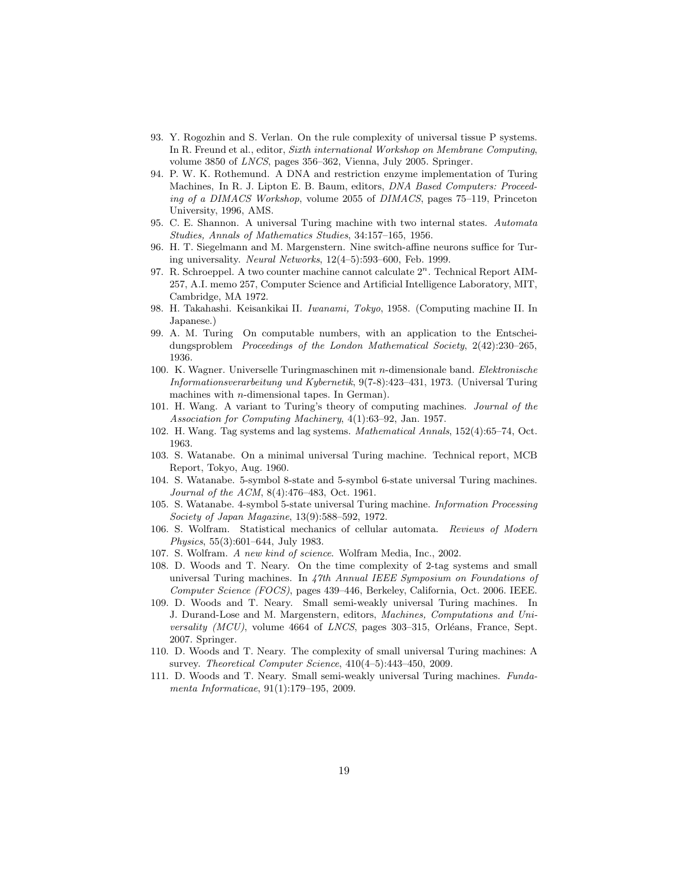- <span id="page-18-9"></span>93. Y. Rogozhin and S. Verlan. On the rule complexity of universal tissue P systems. In R. Freund et al., editor, *Sixth international Workshop on Membrane Computing*, volume 3850 of *LNCS*, pages 356–362, Vienna, July 2005. Springer.
- <span id="page-18-10"></span>94. P. W. K. Rothemund. A DNA and restriction enzyme implementation of Turing Machines, In R. J. Lipton E. B. Baum, editors, *DNA Based Computers: Proceeding of a DIMACS Workshop*, volume 2055 of *DIMACS*, pages 75–119, Princeton University, 1996, AMS.
- <span id="page-18-0"></span>95. C. E. Shannon. A universal Turing machine with two internal states. *Automata Studies, Annals of Mathematics Studies*, 34:157–165, 1956.
- <span id="page-18-8"></span>96. H. T. Siegelmann and M. Margenstern. Nine switch-affine neurons suffice for Turing universality. *Neural Networks*, 12(4–5):593–600, Feb. 1999.
- <span id="page-18-15"></span>97. R. Schroeppel. A two counter machine cannot calculate  $2^n$ . Technical Report AIM-257, A.I. memo 257, Computer Science and Artificial Intelligence Laboratory, MIT, Cambridge, MA 1972.
- <span id="page-18-17"></span>98. H. Takahashi. Keisankikai II. *Iwanami, Tokyo*, 1958. (Computing machine II. In Japanese.)
- <span id="page-18-1"></span>99. A. M. Turing On computable numbers, with an application to the Entscheidungsproblem *Proceedings of the London Mathematical Society*, 2(42):230–265, 1936.
- <span id="page-18-14"></span>100. K. Wagner. Universelle Turingmaschinen mit n-dimensionale band. *Elektronische Informationsverarbeitung und Kybernetik*, 9(7-8):423–431, 1973. (Universal Turing machines with n-dimensional tapes. In German).
- <span id="page-18-13"></span>101. H. Wang. A variant to Turing's theory of computing machines. *Journal of the Association for Computing Machinery*, 4(1):63–92, Jan. 1957.
- <span id="page-18-16"></span><span id="page-18-3"></span>102. H. Wang. Tag systems and lag systems. *Mathematical Annals*, 152(4):65–74, Oct. 1963.
- 103. S. Watanabe. On a minimal universal Turing machine. Technical report, MCB Report, Tokyo, Aug. 1960.
- <span id="page-18-4"></span>104. S. Watanabe. 5-symbol 8-state and 5-symbol 6-state universal Turing machines. *Journal of the ACM*, 8(4):476–483, Oct. 1961.
- <span id="page-18-5"></span>105. S. Watanabe. 4-symbol 5-state universal Turing machine. *Information Processing Society of Japan Magazine*, 13(9):588–592, 1972.
- <span id="page-18-12"></span>106. S. Wolfram. Statistical mechanics of cellular automata. *Reviews of Modern Physics*, 55(3):601–644, July 1983.
- <span id="page-18-11"></span><span id="page-18-7"></span>107. S. Wolfram. *A new kind of science*. Wolfram Media, Inc., 2002.
- 108. D. Woods and T. Neary. On the time complexity of 2-tag systems and small universal Turing machines. In *47th Annual IEEE Symposium on Foundations of Computer Science (FOCS)*, pages 439–446, Berkeley, California, Oct. 2006. IEEE.
- 109. D. Woods and T. Neary. Small semi-weakly universal Turing machines. In J. Durand-Lose and M. Margenstern, editors, *Machines, Computations and Universality (MCU)*, volume 4664 of *LNCS*, pages 303–315, Orléans, France, Sept. 2007. Springer.
- <span id="page-18-2"></span>110. D. Woods and T. Neary. The complexity of small universal Turing machines: A survey. *Theoretical Computer Science*, 410(4–5):443–450, 2009.
- <span id="page-18-6"></span>111. D. Woods and T. Neary. Small semi-weakly universal Turing machines. *Fundamenta Informaticae*, 91(1):179–195, 2009.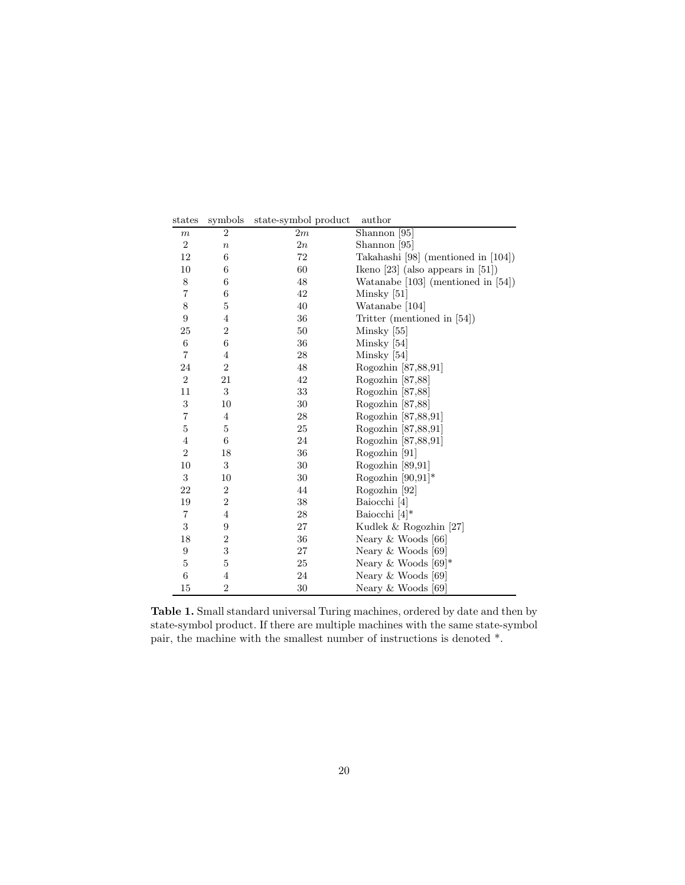| states         | symbols          | state-symbol product | author                                  |
|----------------|------------------|----------------------|-----------------------------------------|
| $\,m$          | 2                | 2m                   | Shannon [95]                            |
| $\overline{2}$ | $\boldsymbol{n}$ | 2n                   | Shannon [95]                            |
| 12             | 6                | 72                   | Takahashi [98] (mentioned in $[104]$ )  |
| 10             | 6                | 60                   | Ikeno $[23]$ (also appears in $[51]$ )  |
| 8              | 6                | 48                   | Watanabe $[103]$ (mentioned in $[54]$ ) |
| 7              | $\,6$            | 42                   | $Minsky$ [51]                           |
| 8              | $\bf 5$          | 40                   | Watanabe [104]                          |
| 9              | $\overline{4}$   | 36                   | Tritter (mentioned in $ 54 $ )          |
| 25             | $\overline{2}$   | 50                   | $Minsky$ [55]                           |
| 6              | 6                | 36                   | Minsky [54]                             |
| $\overline{7}$ | $\overline{4}$   | 28                   | Minsky [54]                             |
| 24             | $\overline{2}$   | 48                   | Rogozhin $\left[87,\!88,\!91\right]$    |
| $\overline{2}$ | 21               | 42                   | Rogozhin [87,88]                        |
| 11             | 3                | 33                   | Rogozhin [87,88]                        |
| 3              | 10               | 30                   | Rogozhin [87,88]                        |
| 7              | $\overline{4}$   | 28                   | Rogozhin [87,88,91]                     |
| 5              | $\bf 5$          | 25                   | Rogozhin [87,88,91]                     |
| $\overline{4}$ | $\,$ 6 $\,$      | 24                   | Rogozhin [87,88,91]                     |
| $\overline{2}$ | 18               | 36                   | Rogozhin [91]                           |
| 10             | 3                | 30                   | Rogozhin [89,91]                        |
| $\,3$          | 10               | 30                   | Rogozhin $[90, 91]$ *                   |
| 22             | $\sqrt{2}$       | 44                   | Rogozhin [92]                           |
| 19             | $\overline{2}$   | 38                   | Baiocchi [4]                            |
| $\overline{7}$ | $\overline{4}$   | 28                   | Baiocchi $[4]^*$                        |
| 3              | 9                | 27                   | Kudlek & Rogozhin [27]                  |
| 18             | $\overline{2}$   | 36                   | Neary & Woods [66]                      |
| 9              | 3                | 27                   | Neary & Woods [69]                      |
| 5              | $\bf 5$          | 25                   | Neary & Woods $[69]^*$                  |
| 6              | $\overline{4}$   | 24                   | Neary & Woods [69]                      |
| 15             | $\overline{2}$   | 30                   | Neary & Woods [69]                      |

<span id="page-19-0"></span>Table 1. Small standard universal Turing machines, ordered by date and then by state-symbol product. If there are multiple machines with the same state-symbol pair, the machine with the smallest number of instructions is denoted \*.